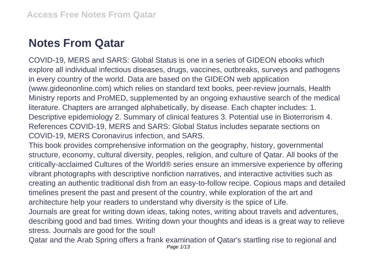## **Notes From Qatar**

COVID-19, MERS and SARS: Global Status is one in a series of GIDEON ebooks which explore all individual infectious diseases, drugs, vaccines, outbreaks, surveys and pathogens in every country of the world. Data are based on the GIDEON web application (www.gideononline.com) which relies on standard text books, peer-review journals, Health Ministry reports and ProMED, supplemented by an ongoing exhaustive search of the medical literature. Chapters are arranged alphabetically, by disease. Each chapter includes: 1. Descriptive epidemiology 2. Summary of clinical features 3. Potential use in Bioterrorism 4. References COVID-19, MERS and SARS: Global Status includes separate sections on COVID-19, MERS Coronavirus infection, and SARS.

This book provides comprehensive information on the geography, history, governmental structure, economy, cultural diversity, peoples, religion, and culture of Qatar. All books of the critically-acclaimed Cultures of the World® series ensure an immersive experience by offering vibrant photographs with descriptive nonfiction narratives, and interactive activities such as creating an authentic traditional dish from an easy-to-follow recipe. Copious maps and detailed timelines present the past and present of the country, while exploration of the art and architecture help your readers to understand why diversity is the spice of Life.

Journals are great for writing down ideas, taking notes, writing about travels and adventures, describing good and bad times. Writing down your thoughts and ideas is a great way to relieve stress. Journals are good for the soul!

Qatar and the Arab Spring offers a frank examination of Qatar's startling rise to regional and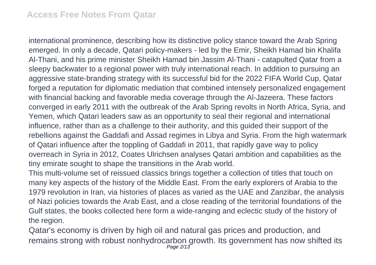international prominence, describing how its distinctive policy stance toward the Arab Spring emerged. In only a decade, Qatari policy-makers - led by the Emir, Sheikh Hamad bin Khalifa Al-Thani, and his prime minister Sheikh Hamad bin Jassim Al-Thani - catapulted Qatar from a sleepy backwater to a regional power with truly international reach. In addition to pursuing an aggressive state-branding strategy with its successful bid for the 2022 FIFA World Cup, Qatar forged a reputation for diplomatic mediation that combined intensely personalized engagement with financial backing and favorable media coverage through the Al-Jazeera. These factors converged in early 2011 with the outbreak of the Arab Spring revolts in North Africa, Syria, and Yemen, which Qatari leaders saw as an opportunity to seal their regional and international influence, rather than as a challenge to their authority, and this guided their support of the rebellions against the Gaddafi and Assad regimes in Libya and Syria. From the high watermark of Qatari influence after the toppling of Gaddafi in 2011, that rapidly gave way to policy overreach in Syria in 2012, Coates Ulrichsen analyses Qatari ambition and capabilities as the tiny emirate sought to shape the transitions in the Arab world.

This multi-volume set of reissued classics brings together a collection of titles that touch on many key aspects of the history of the Middle East. From the early explorers of Arabia to the 1979 revolution in Iran, via histories of places as varied as the UAE and Zanzibar, the analysis of Nazi policies towards the Arab East, and a close reading of the territorial foundations of the Gulf states, the books collected here form a wide-ranging and eclectic study of the history of the region.

Qatar's economy is driven by high oil and natural gas prices and production, and remains strong with robust nonhydrocarbon growth. Its government has now shifted its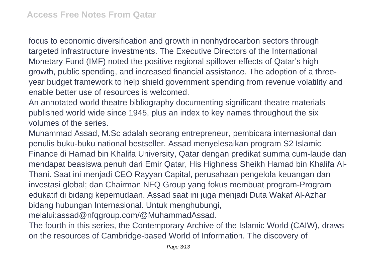focus to economic diversification and growth in nonhydrocarbon sectors through targeted infrastructure investments. The Executive Directors of the International Monetary Fund (IMF) noted the positive regional spillover effects of Qatar's high growth, public spending, and increased financial assistance. The adoption of a threeyear budget framework to help shield government spending from revenue volatility and enable better use of resources is welcomed.

An annotated world theatre bibliography documenting significant theatre materials published world wide since 1945, plus an index to key names throughout the six volumes of the series.

Muhammad Assad, M.Sc adalah seorang entrepreneur, pembicara internasional dan penulis buku-buku national bestseller. Assad menyelesaikan program S2 Islamic Finance di Hamad bin Khalifa University, Qatar dengan predikat summa cum-laude dan mendapat beasiswa penuh dari Emir Qatar, His Highness Sheikh Hamad bin Khalifa Al-Thani. Saat ini menjadi CEO Rayyan Capital, perusahaan pengelola keuangan dan investasi global; dan Chairman NFQ Group yang fokus membuat program-Program edukatif di bidang kepemudaan. Assad saat ini juga menjadi Duta Wakaf Al-Azhar bidang hubungan Internasional. Untuk menghubungi, melalui:assad@nfqgroup.com/@MuhammadAssad.

The fourth in this series, the Contemporary Archive of the Islamic World (CAIW), draws on the resources of Cambridge-based World of Information. The discovery of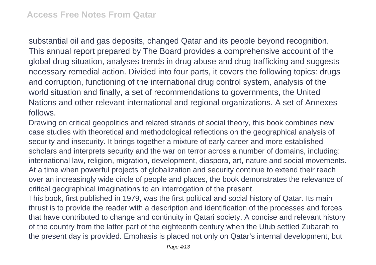substantial oil and gas deposits, changed Qatar and its people beyond recognition. This annual report prepared by The Board provides a comprehensive account of the global drug situation, analyses trends in drug abuse and drug trafficking and suggests necessary remedial action. Divided into four parts, it covers the following topics: drugs and corruption, functioning of the international drug control system, analysis of the world situation and finally, a set of recommendations to governments, the United Nations and other relevant international and regional organizations. A set of Annexes follows.

Drawing on critical geopolitics and related strands of social theory, this book combines new case studies with theoretical and methodological reflections on the geographical analysis of security and insecurity. It brings together a mixture of early career and more established scholars and interprets security and the war on terror across a number of domains, including: international law, religion, migration, development, diaspora, art, nature and social movements. At a time when powerful projects of globalization and security continue to extend their reach over an increasingly wide circle of people and places, the book demonstrates the relevance of critical geographical imaginations to an interrogation of the present.

This book, first published in 1979, was the first political and social history of Qatar. Its main thrust is to provide the reader with a description and identification of the processes and forces that have contributed to change and continuity in Qatari society. A concise and relevant history of the country from the latter part of the eighteenth century when the Utub settled Zubarah to the present day is provided. Emphasis is placed not only on Qatar's internal development, but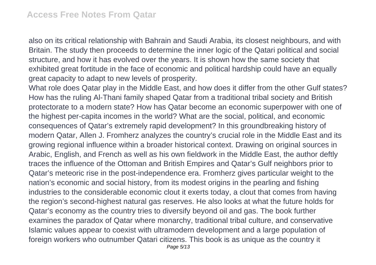also on its critical relationship with Bahrain and Saudi Arabia, its closest neighbours, and with Britain. The study then proceeds to determine the inner logic of the Qatari political and social structure, and how it has evolved over the years. It is shown how the same society that exhibited great fortitude in the face of economic and political hardship could have an equally great capacity to adapt to new levels of prosperity.

What role does Qatar play in the Middle East, and how does it differ from the other Gulf states? How has the ruling Al-Thani family shaped Qatar from a traditional tribal society and British protectorate to a modern state? How has Qatar become an economic superpower with one of the highest per-capita incomes in the world? What are the social, political, and economic consequences of Qatar's extremely rapid development? In this groundbreaking history of modern Qatar, Allen J. Fromherz analyzes the country's crucial role in the Middle East and its growing regional influence within a broader historical context. Drawing on original sources in Arabic, English, and French as well as his own fieldwork in the Middle East, the author deftly traces the influence of the Ottoman and British Empires and Qatar's Gulf neighbors prior to Qatar's meteoric rise in the post-independence era. Fromherz gives particular weight to the nation's economic and social history, from its modest origins in the pearling and fishing industries to the considerable economic clout it exerts today, a clout that comes from having the region's second-highest natural gas reserves. He also looks at what the future holds for Qatar's economy as the country tries to diversify beyond oil and gas. The book further examines the paradox of Qatar where monarchy, traditional tribal culture, and conservative Islamic values appear to coexist with ultramodern development and a large population of foreign workers who outnumber Qatari citizens. This book is as unique as the country it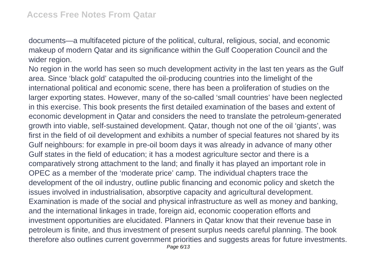documents—a multifaceted picture of the political, cultural, religious, social, and economic makeup of modern Qatar and its significance within the Gulf Cooperation Council and the wider region.

No region in the world has seen so much development activity in the last ten years as the Gulf area. Since 'black gold' catapulted the oil-producing countries into the limelight of the international political and economic scene, there has been a proliferation of studies on the larger exporting states. However, many of the so-called 'small countries' have been neglected in this exercise. This book presents the first detailed examination of the bases and extent of economic development in Qatar and considers the need to translate the petroleum-generated growth into viable, self-sustained development. Qatar, though not one of the oil 'giants', was first in the field of oil development and exhibits a number of special features not shared by its Gulf neighbours: for example in pre-oil boom days it was already in advance of many other Gulf states in the field of education; it has a modest agriculture sector and there is a comparatively strong attachment to the land; and finally it has played an important role in OPEC as a member of the 'moderate price' camp. The individual chapters trace the development of the oil industry, outline public financing and economic policy and sketch the issues involved in industrialisation, absorptive capacity and agricultural development. Examination is made of the social and physical infrastructure as well as money and banking, and the international linkages in trade, foreign aid, economic cooperation efforts and investment opportunities are elucidated. Planners in Qatar know that their revenue base in petroleum is finite, and thus investment of present surplus needs careful planning. The book therefore also outlines current government priorities and suggests areas for future investments. Page 6/13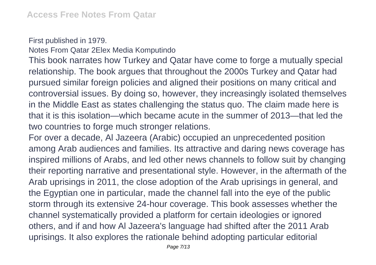First published in 1979. Notes From Qatar 2Elex Media Komputindo

This book narrates how Turkey and Qatar have come to forge a mutually special relationship. The book argues that throughout the 2000s Turkey and Qatar had pursued similar foreign policies and aligned their positions on many critical and controversial issues. By doing so, however, they increasingly isolated themselves in the Middle East as states challenging the status quo. The claim made here is that it is this isolation—which became acute in the summer of 2013—that led the two countries to forge much stronger relations.

For over a decade, Al Jazeera (Arabic) occupied an unprecedented position among Arab audiences and families. Its attractive and daring news coverage has inspired millions of Arabs, and led other news channels to follow suit by changing their reporting narrative and presentational style. However, in the aftermath of the Arab uprisings in 2011, the close adoption of the Arab uprisings in general, and the Egyptian one in particular, made the channel fall into the eye of the public storm through its extensive 24-hour coverage. This book assesses whether the channel systematically provided a platform for certain ideologies or ignored others, and if and how Al Jazeera's language had shifted after the 2011 Arab uprisings. It also explores the rationale behind adopting particular editorial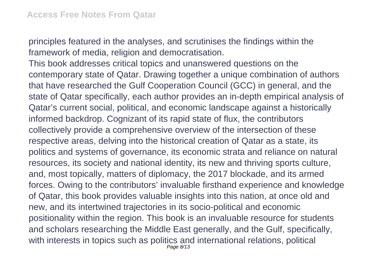principles featured in the analyses, and scrutinises the findings within the framework of media, religion and democratisation.

This book addresses critical topics and unanswered questions on the contemporary state of Qatar. Drawing together a unique combination of authors that have researched the Gulf Cooperation Council (GCC) in general, and the state of Qatar specifically, each author provides an in-depth empirical analysis of Qatar's current social, political, and economic landscape against a historically informed backdrop. Cognizant of its rapid state of flux, the contributors collectively provide a comprehensive overview of the intersection of these respective areas, delving into the historical creation of Qatar as a state, its politics and systems of governance, its economic strata and reliance on natural resources, its society and national identity, its new and thriving sports culture, and, most topically, matters of diplomacy, the 2017 blockade, and its armed forces. Owing to the contributors' invaluable firsthand experience and knowledge of Qatar, this book provides valuable insights into this nation, at once old and new, and its intertwined trajectories in its socio-political and economic positionality within the region. This book is an invaluable resource for students and scholars researching the Middle East generally, and the Gulf, specifically, with interests in topics such as politics and international relations, political Page 8/13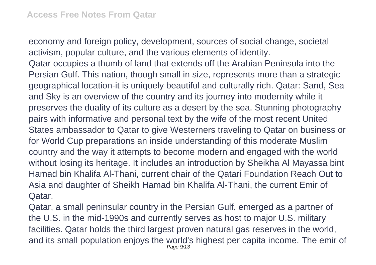economy and foreign policy, development, sources of social change, societal activism, popular culture, and the various elements of identity.

Qatar occupies a thumb of land that extends off the Arabian Peninsula into the Persian Gulf. This nation, though small in size, represents more than a strategic geographical location-it is uniquely beautiful and culturally rich. Qatar: Sand, Sea and Sky is an overview of the country and its journey into modernity while it preserves the duality of its culture as a desert by the sea. Stunning photography pairs with informative and personal text by the wife of the most recent United States ambassador to Qatar to give Westerners traveling to Qatar on business or for World Cup preparations an inside understanding of this moderate Muslim country and the way it attempts to become modern and engaged with the world without losing its heritage. It includes an introduction by Sheikha Al Mayassa bint Hamad bin Khalifa Al-Thani, current chair of the Qatari Foundation Reach Out to Asia and daughter of Sheikh Hamad bin Khalifa Al-Thani, the current Emir of Qatar.

Qatar, a small peninsular country in the Persian Gulf, emerged as a partner of the U.S. in the mid-1990s and currently serves as host to major U.S. military facilities. Qatar holds the third largest proven natural gas reserves in the world, and its small population enjoys the world's highest per capita income. The emir of Page 9/13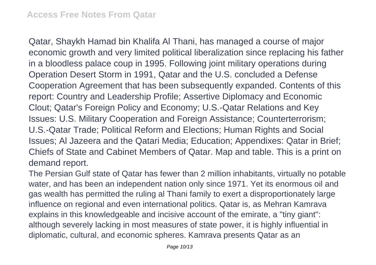Qatar, Shaykh Hamad bin Khalifa Al Thani, has managed a course of major economic growth and very limited political liberalization since replacing his father in a bloodless palace coup in 1995. Following joint military operations during Operation Desert Storm in 1991, Qatar and the U.S. concluded a Defense Cooperation Agreement that has been subsequently expanded. Contents of this report: Country and Leadership Profile; Assertive Diplomacy and Economic Clout; Qatar's Foreign Policy and Economy; U.S.-Qatar Relations and Key Issues: U.S. Military Cooperation and Foreign Assistance; Counterterrorism; U.S.-Qatar Trade; Political Reform and Elections; Human Rights and Social Issues; Al Jazeera and the Qatari Media; Education; Appendixes: Qatar in Brief; Chiefs of State and Cabinet Members of Qatar. Map and table. This is a print on demand report.

The Persian Gulf state of Qatar has fewer than 2 million inhabitants, virtually no potable water, and has been an independent nation only since 1971. Yet its enormous oil and gas wealth has permitted the ruling al Thani family to exert a disproportionately large influence on regional and even international politics. Qatar is, as Mehran Kamrava explains in this knowledgeable and incisive account of the emirate, a "tiny giant": although severely lacking in most measures of state power, it is highly influential in diplomatic, cultural, and economic spheres. Kamrava presents Qatar as an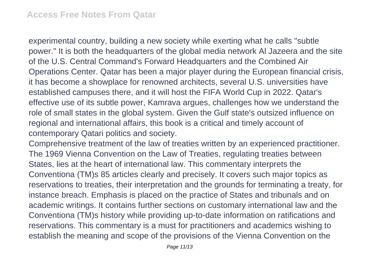experimental country, building a new society while exerting what he calls "subtle power." It is both the headquarters of the global media network Al Jazeera and the site of the U.S. Central Command's Forward Headquarters and the Combined Air Operations Center. Qatar has been a major player during the European financial crisis, it has become a showplace for renowned architects, several U.S. universities have established campuses there, and it will host the FIFA World Cup in 2022. Qatar's effective use of its subtle power, Kamrava argues, challenges how we understand the role of small states in the global system. Given the Gulf state's outsized influence on regional and international affairs, this book is a critical and timely account of contemporary Qatari politics and society.

Comprehensive treatment of the law of treaties written by an experienced practitioner. The 1969 Vienna Convention on the Law of Treaties, regulating treaties between States, lies at the heart of international law. This commentary interprets the Conventiona (TM)s 85 articles clearly and precisely. It covers such major topics as reservations to treaties, their interpretation and the grounds for terminating a treaty, for instance breach. Emphasis is placed on the practice of States and tribunals and on academic writings. It contains further sections on customary international law and the Conventiona (TM)s history while providing up-to-date information on ratifications and reservations. This commentary is a must for practitioners and academics wishing to establish the meaning and scope of the provisions of the Vienna Convention on the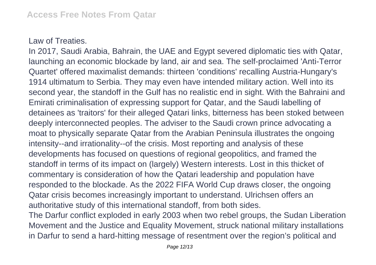## Law of Treaties.

In 2017, Saudi Arabia, Bahrain, the UAE and Egypt severed diplomatic ties with Qatar, launching an economic blockade by land, air and sea. The self-proclaimed 'Anti-Terror Quartet' offered maximalist demands: thirteen 'conditions' recalling Austria-Hungary's 1914 ultimatum to Serbia. They may even have intended military action. Well into its second year, the standoff in the Gulf has no realistic end in sight. With the Bahraini and Emirati criminalisation of expressing support for Qatar, and the Saudi labelling of detainees as 'traitors' for their alleged Qatari links, bitterness has been stoked between deeply interconnected peoples. The adviser to the Saudi crown prince advocating a moat to physically separate Qatar from the Arabian Peninsula illustrates the ongoing intensity--and irrationality--of the crisis. Most reporting and analysis of these developments has focused on questions of regional geopolitics, and framed the standoff in terms of its impact on (largely) Western interests. Lost in this thicket of commentary is consideration of how the Qatari leadership and population have responded to the blockade. As the 2022 FIFA World Cup draws closer, the ongoing Qatar crisis becomes increasingly important to understand. Ulrichsen offers an authoritative study of this international standoff, from both sides.

The Darfur conflict exploded in early 2003 when two rebel groups, the Sudan Liberation Movement and the Justice and Equality Movement, struck national military installations in Darfur to send a hard-hitting message of resentment over the region's political and